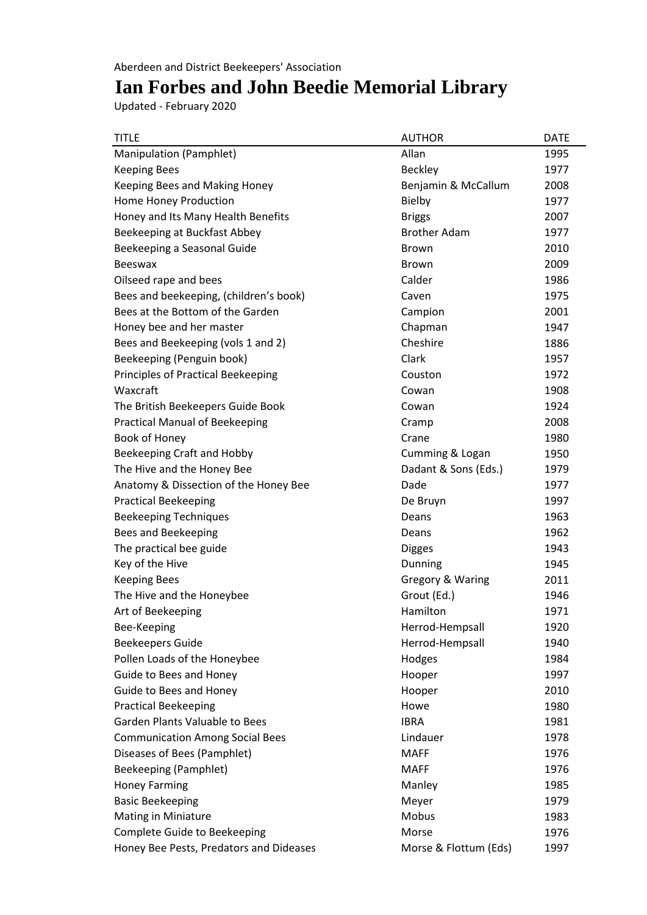## **Ian Forbes and John Beedie Memorial Library**

Updated - February 2020

| <b>TITLE</b>                              | <b>AUTHOR</b>         | <b>DATE</b> |
|-------------------------------------------|-----------------------|-------------|
| Manipulation (Pamphlet)                   | Allan                 | 1995        |
| <b>Keeping Bees</b>                       | <b>Beckley</b>        | 1977        |
| Keeping Bees and Making Honey             | Benjamin & McCallum   | 2008        |
| Home Honey Production                     | Bielby                | 1977        |
| Honey and Its Many Health Benefits        | <b>Briggs</b>         | 2007        |
| Beekeeping at Buckfast Abbey              | <b>Brother Adam</b>   | 1977        |
| Beekeeping a Seasonal Guide               | <b>Brown</b>          | 2010        |
| <b>Beeswax</b>                            | <b>Brown</b>          | 2009        |
| Oilseed rape and bees                     | Calder                | 1986        |
| Bees and beekeeping, (children's book)    | Caven                 | 1975        |
| Bees at the Bottom of the Garden          | Campion               | 2001        |
| Honey bee and her master                  | Chapman               | 1947        |
| Bees and Beekeeping (vols 1 and 2)        | Cheshire              | 1886        |
| Beekeeping (Penguin book)                 | Clark                 | 1957        |
| <b>Principles of Practical Beekeeping</b> | Couston               | 1972        |
| Waxcraft                                  | Cowan                 | 1908        |
| The British Beekeepers Guide Book         | Cowan                 | 1924        |
| <b>Practical Manual of Beekeeping</b>     | Cramp                 | 2008        |
| Book of Honey                             | Crane                 | 1980        |
| Beekeeping Craft and Hobby                | Cumming & Logan       | 1950        |
| The Hive and the Honey Bee                | Dadant & Sons (Eds.)  | 1979        |
| Anatomy & Dissection of the Honey Bee     | Dade                  | 1977        |
| <b>Practical Beekeeping</b>               | De Bruyn              | 1997        |
| <b>Beekeeping Techniques</b>              | Deans                 | 1963        |
| Bees and Beekeeping                       | Deans                 | 1962        |
| The practical bee guide                   | <b>Digges</b>         | 1943        |
| Key of the Hive                           | Dunning               | 1945        |
| <b>Keeping Bees</b>                       | Gregory & Waring      | 2011        |
| The Hive and the Honeybee                 | Grout (Ed.)           | 1946        |
| Art of Beekeeping                         | Hamilton              | 1971        |
| Bee-Keeping                               | Herrod-Hempsall       | 1920        |
| <b>Beekeepers Guide</b>                   | Herrod-Hempsall       | 1940        |
| Pollen Loads of the Honeybee              | Hodges                | 1984        |
| Guide to Bees and Honey                   | Hooper                | 1997        |
| Guide to Bees and Honey                   | Hooper                | 2010        |
| <b>Practical Beekeeping</b>               | Howe                  | 1980        |
| <b>Garden Plants Valuable to Bees</b>     | <b>IBRA</b>           | 1981        |
| <b>Communication Among Social Bees</b>    | Lindauer              | 1978        |
| Diseases of Bees (Pamphlet)               | <b>MAFF</b>           | 1976        |
| Beekeeping (Pamphlet)                     | <b>MAFF</b>           | 1976        |
| <b>Honey Farming</b>                      | Manley                | 1985        |
| <b>Basic Beekeeping</b>                   | Meyer                 | 1979        |
| <b>Mating in Miniature</b>                | Mobus                 | 1983        |
| <b>Complete Guide to Beekeeping</b>       | Morse                 | 1976        |
| Honey Bee Pests, Predators and Dideases   | Morse & Flottum (Eds) | 1997        |